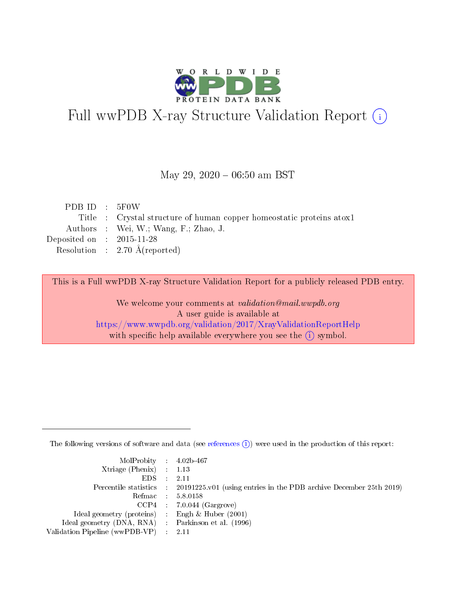

# Full wwPDB X-ray Structure Validation Report (i)

#### May 29,  $2020 - 06:50$  am BST

| Title : Crystal structure of human copper homeostatic proteins atox1 |
|----------------------------------------------------------------------|
|                                                                      |
|                                                                      |
|                                                                      |
|                                                                      |

This is a Full wwPDB X-ray Structure Validation Report for a publicly released PDB entry.

We welcome your comments at validation@mail.wwpdb.org A user guide is available at <https://www.wwpdb.org/validation/2017/XrayValidationReportHelp> with specific help available everywhere you see the  $(i)$  symbol.

The following versions of software and data (see [references](https://www.wwpdb.org/validation/2017/XrayValidationReportHelp#references)  $(i)$ ) were used in the production of this report:

| $MolProbability$ 4.02b-467                          |                                                                                            |
|-----------------------------------------------------|--------------------------------------------------------------------------------------------|
| Xtriage (Phenix) $: 1.13$                           |                                                                                            |
| $EDS$ :                                             | -2.11                                                                                      |
|                                                     | Percentile statistics : 20191225.v01 (using entries in the PDB archive December 25th 2019) |
|                                                     | Refmac : 5.8.0158                                                                          |
|                                                     | $CCP4$ : 7.0.044 (Gargrove)                                                                |
| Ideal geometry (proteins) : Engh $\&$ Huber (2001)  |                                                                                            |
| Ideal geometry (DNA, RNA) : Parkinson et al. (1996) |                                                                                            |
| Validation Pipeline (wwPDB-VP)                      | -2.11                                                                                      |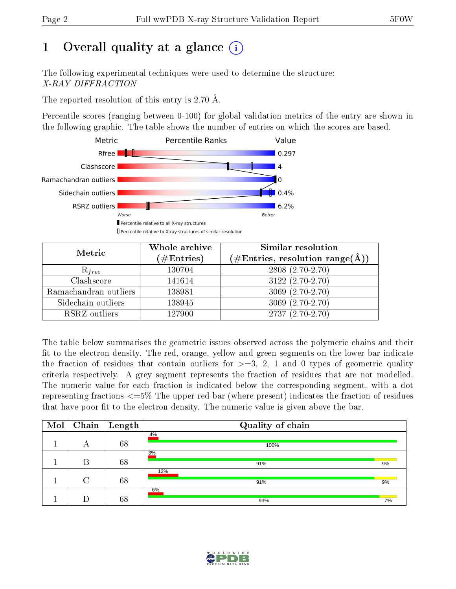# 1 [O](https://www.wwpdb.org/validation/2017/XrayValidationReportHelp#overall_quality)verall quality at a glance  $(i)$

The following experimental techniques were used to determine the structure: X-RAY DIFFRACTION

The reported resolution of this entry is 2.70 Å.

Percentile scores (ranging between 0-100) for global validation metrics of the entry are shown in the following graphic. The table shows the number of entries on which the scores are based.



| Metric                | Whole archive<br>$(\#\text{Entries})$ | Similar resolution<br>$(\#\text{Entries}, \text{resolution range}(\text{\AA}))$ |
|-----------------------|---------------------------------------|---------------------------------------------------------------------------------|
| $R_{free}$            | 130704                                | $2808(2.70-2.70)$                                                               |
| Clashscore            | 141614                                | $3122(2.70-2.70)$                                                               |
| Ramachandran outliers | 138981                                | $3069(2.70-2.70)$                                                               |
| Sidechain outliers    | 138945                                | $3069(2.70-2.70)$                                                               |
| RSRZ outliers         | 127900                                | $2737(2.70-2.70)$                                                               |

The table below summarises the geometric issues observed across the polymeric chains and their fit to the electron density. The red, orange, yellow and green segments on the lower bar indicate the fraction of residues that contain outliers for  $>=3, 2, 1$  and 0 types of geometric quality criteria respectively. A grey segment represents the fraction of residues that are not modelled. The numeric value for each fraction is indicated below the corresponding segment, with a dot representing fractions  $\epsilon=5\%$  The upper red bar (where present) indicates the fraction of residues that have poor fit to the electron density. The numeric value is given above the bar.

| Mol |        | $\sqrt{\text{Chain}\int$ Length | Quality of chain |    |
|-----|--------|---------------------------------|------------------|----|
|     | А      | 68                              | 4%<br>100%       |    |
|     | В      | 68                              | 3%<br>91%        | 9% |
|     | $\cap$ | 68                              | 12%<br>91%       | 9% |
|     |        | 68                              | 6%<br>93%        | 7% |

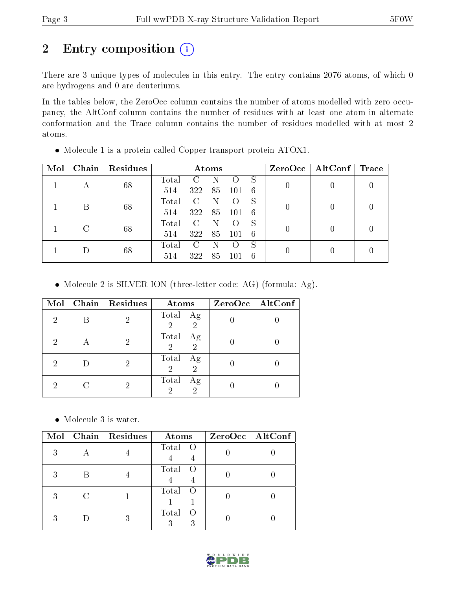# 2 Entry composition (i)

There are 3 unique types of molecules in this entry. The entry contains 2076 atoms, of which 0 are hydrogens and 0 are deuteriums.

In the tables below, the ZeroOcc column contains the number of atoms modelled with zero occupancy, the AltConf column contains the number of residues with at least one atom in alternate conformation and the Trace column contains the number of residues modelled with at most 2 atoms.

| Mol | Chain | Residues | Atoms |               |     |     |    | $ZeroOcc \   \$ AltConf | $\top$ Trace |  |
|-----|-------|----------|-------|---------------|-----|-----|----|-------------------------|--------------|--|
|     |       | 68       | Total | $\mathcal{C}$ |     |     | S  |                         |              |  |
|     | А     |          | 514   | 322           | 85  | 101 | -6 |                         |              |  |
|     | Β     | 68       | Total | $\mathbf{C}$  |     |     | S  |                         |              |  |
|     |       |          | 514   | 322           | 85  | 101 | -6 |                         |              |  |
|     |       |          | Total | $\mathcal{C}$ |     |     | S  |                         |              |  |
|     |       |          |       | 68            | 514 | 322 | 85 | 101                     | -6           |  |
|     |       |          | Total | $\mathbf{C}$  |     |     | S  |                         |              |  |
|     | 68    | 514      | 322   | 85            | 101 | 6   |    |                         |              |  |

Molecule 1 is a protein called Copper transport protein ATOX1.

Molecule 2 is SILVER ION (three-letter code: AG) (formula: Ag).

| Mol | Chain Residues | Atoms                                           | ZeroOcc   AltConf |
|-----|----------------|-------------------------------------------------|-------------------|
| 2   |                | Total Ag<br>$\overline{2}$<br>$\mathfrak{D}$    |                   |
| 2   |                | Total<br>Ag<br>$\overline{2}$<br>$\overline{2}$ |                   |
| 2   |                | Total Ag<br>$\overline{2}$<br>$\overline{2}$    |                   |
| 2   |                | Total<br>Ag<br>$\overline{2}$<br>$\mathcal{D}$  |                   |

Molecule 3 is water.

| Mol | Chain   Residues | Atoms                     | $ZeroOcc$   AltConf |
|-----|------------------|---------------------------|---------------------|
| З   |                  | Total O                   |                     |
| 3   |                  | Total<br>$\left( \right)$ |                     |
| З   |                  | Total<br>- ( )            |                     |
|     |                  | Total<br>3                |                     |

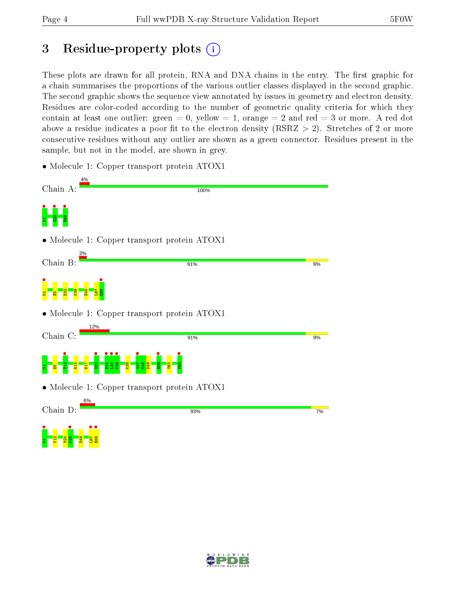# 3 Residue-property plots  $(i)$

These plots are drawn for all protein, RNA and DNA chains in the entry. The first graphic for a chain summarises the proportions of the various outlier classes displayed in the second graphic. The second graphic shows the sequence view annotated by issues in geometry and electron density. Residues are color-coded according to the number of geometric quality criteria for which they contain at least one outlier: green  $= 0$ , yellow  $= 1$ , orange  $= 2$  and red  $= 3$  or more. A red dot above a residue indicates a poor fit to the electron density (RSRZ  $> 2$ ). Stretches of 2 or more consecutive residues without any outlier are shown as a green connector. Residues present in the sample, but not in the model, are shown in grey.

• Molecule 1: Copper transport protein ATOX1

D49



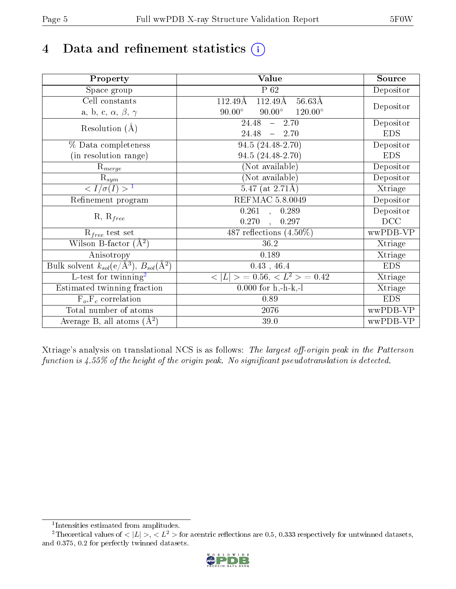# 4 Data and refinement statistics  $(i)$

| Property                                                             | Value                                              | Source     |
|----------------------------------------------------------------------|----------------------------------------------------|------------|
| Space group                                                          | $P_62$                                             | Depositor  |
| Cell constants                                                       | $112.49\text{\AA}$<br>$56.63\text{\AA}$<br>112.49Å |            |
| a, b, c, $\alpha$ , $\beta$ , $\gamma$                               | $120.00^{\circ}$<br>$90.00^\circ$<br>$90.00^\circ$ | Depositor  |
| Resolution $(A)$                                                     | 24.48<br>$-2.70$                                   | Depositor  |
|                                                                      | 24.48<br>2.70<br>$\frac{1}{2}$                     | <b>EDS</b> |
| % Data completeness                                                  | 94.5 (24.48-2.70)                                  | Depositor  |
| (in resolution range)                                                | 94.5 (24.48-2.70)                                  | <b>EDS</b> |
| $R_{merge}$                                                          | (Not available)                                    | Depositor  |
| $\mathrm{R}_{sym}$                                                   | (Not available)                                    | Depositor  |
| $\langle I/\sigma(I) \rangle^{-1}$                                   | $5.47$ (at 2.71Å)                                  | Xtriage    |
| Refinement program                                                   | <b>REFMAC 5.8.0049</b>                             | Depositor  |
|                                                                      | $\overline{0.261}$ ,<br>0.289                      | Depositor  |
| $R, R_{free}$                                                        | 0.270<br>0.297<br>$\ddot{\phantom{1}}$             | DCC        |
| $R_{free}$ test set                                                  | 487 reflections $(4.50\%)$                         | wwPDB-VP   |
| Wilson B-factor $(A^2)$                                              | 36.2                                               | Xtriage    |
| Anisotropy                                                           | 0.189                                              | Xtriage    |
| Bulk solvent $k_{sol}(e/\mathring{A}^3)$ , $B_{sol}(\mathring{A}^2)$ | $0.43$ , 46.4                                      | <b>EDS</b> |
| L-test for twinning <sup>2</sup>                                     | $>$ = 0.56, < $L^2$ > = 0.42<br>< L                | Xtriage    |
| Estimated twinning fraction                                          | $0.000$ for h,-h-k,-l                              | Xtriage    |
| $F_o, F_c$ correlation                                               | 0.89                                               | <b>EDS</b> |
| Total number of atoms                                                | 2076                                               | wwPDB-VP   |
| Average B, all atoms $(A^2)$                                         | 39.0                                               | wwPDB-VP   |

Xtriage's analysis on translational NCS is as follows: The largest off-origin peak in the Patterson function is  $4.55\%$  of the height of the origin peak. No significant pseudotranslation is detected.

<sup>&</sup>lt;sup>2</sup>Theoretical values of  $\langle |L| \rangle$ ,  $\langle L^2 \rangle$  for acentric reflections are 0.5, 0.333 respectively for untwinned datasets, and 0.375, 0.2 for perfectly twinned datasets.



<span id="page-4-1"></span><span id="page-4-0"></span><sup>1</sup> Intensities estimated from amplitudes.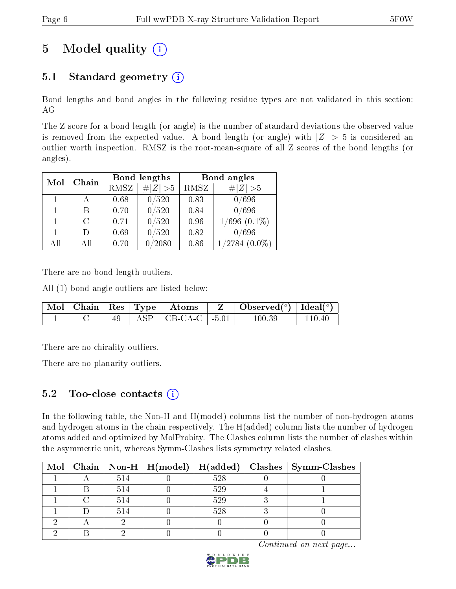# 5 Model quality  $(i)$

## 5.1 Standard geometry  $(i)$

Bond lengths and bond angles in the following residue types are not validated in this section: AG

The Z score for a bond length (or angle) is the number of standard deviations the observed value is removed from the expected value. A bond length (or angle) with  $|Z| > 5$  is considered an outlier worth inspection. RMSZ is the root-mean-square of all Z scores of the bond lengths (or angles).

| Mol | Chain     |      | Bond lengths    | Bond angles |                              |  |
|-----|-----------|------|-----------------|-------------|------------------------------|--|
|     |           | RMSZ | $\ Z\  > 5$     | RMSZ        | # $ Z >5$                    |  |
|     |           | 0.68 | 0/520           | 0.83        | 0/696                        |  |
|     | В         | 0.70 | 0/520           | 0.84        | 0/696                        |  |
|     | С         | 0.71 | 0/520           | 0.96        | $\overline{1/6}96$ $(0.1\%)$ |  |
|     | Ð         | 0.69 | 0/520           | 0.82        | 0/696                        |  |
| All | $\rm{Al}$ | 0.70 | $^{\prime}2080$ | 0.86        | 1/2784<br>$(0.0\%)$          |  |

There are no bond length outliers.

All (1) bond angle outliers are listed below:

|  |  | $\mid$ Mol $\mid$ Chain $\mid$ Res $\mid$ Type $\mid$ Atoms $\mid$ | $\vert Z \vert$ Observed( <sup>o</sup> )   Ideal( <sup>o</sup> ) |        |
|--|--|--------------------------------------------------------------------|------------------------------------------------------------------|--------|
|  |  | $\vert$ ASP $\vert$ CB-CA-C $\vert$ -5.01 $\vert$                  | 100 39                                                           | 110 40 |

There are no chirality outliers.

There are no planarity outliers.

## 5.2 Too-close contacts  $(i)$

In the following table, the Non-H and H(model) columns list the number of non-hydrogen atoms and hydrogen atoms in the chain respectively. The H(added) column lists the number of hydrogen atoms added and optimized by MolProbity. The Clashes column lists the number of clashes within the asymmetric unit, whereas Symm-Clashes lists symmetry related clashes.

|  |     |     | Mol   Chain   Non-H   $H(model)$   $H(added)$   Clashes   Symm-Clashes |
|--|-----|-----|------------------------------------------------------------------------|
|  | 514 | 528 |                                                                        |
|  | 514 | 529 |                                                                        |
|  | 514 | 529 |                                                                        |
|  | 514 | 528 |                                                                        |
|  |     |     |                                                                        |
|  |     |     |                                                                        |

Continued on next page...

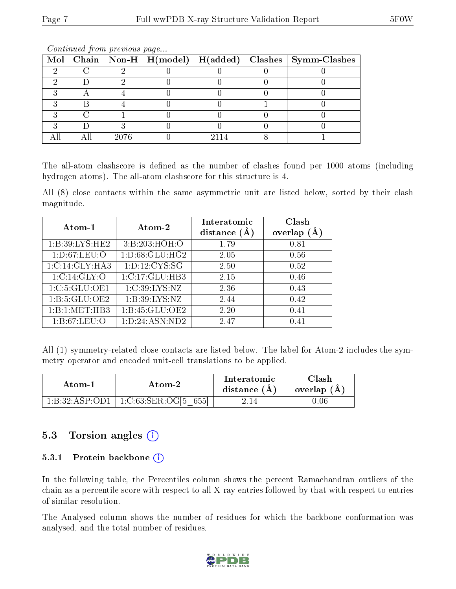|  |      |  | Mol   Chain   Non-H   H(model)   H(added)   Clashes   Symm-Clashes |
|--|------|--|--------------------------------------------------------------------|
|  |      |  |                                                                    |
|  |      |  |                                                                    |
|  |      |  |                                                                    |
|  |      |  |                                                                    |
|  |      |  |                                                                    |
|  |      |  |                                                                    |
|  | 2076 |  |                                                                    |

Continued from previous page...

The all-atom clashscore is defined as the number of clashes found per 1000 atoms (including hydrogen atoms). The all-atom clashscore for this structure is 4.

All (8) close contacts within the same asymmetric unit are listed below, sorted by their clash magnitude.

| Atom-1            | Atom-2             | Interatomic<br>distance $(A)$ | Clash<br>overlap $(A)$ |  |
|-------------------|--------------------|-------------------------------|------------------------|--|
| 1: B:39: LYS: HE2 | 3: B:203:HOH:O     | 1.79                          | 0.81                   |  |
| 1: D:67: LEU:O    | 1: D:68: GLU: HG2  | 2.05                          | 0.56                   |  |
| 1:C:14:GLY:HA3    | 1: D: 12: CYS: SG  | 2.50                          | 0.52                   |  |
| 1:C:14:GLY:O      | 1:C:17:GLU:HB3     | 2.15                          | 0.46                   |  |
| 1:C:5:GLU:OE1     | 1:C:39:LYS:NZ      | 2.36                          | 0.43                   |  |
| 1: B: 5: GLU: OE2 | 1: B:39: LYS: NZ   | 2.44                          | 0.42                   |  |
| 1:B:1:MET:HB3     | 1:B:45:GLU:OE2     | 2.20                          | 0.41                   |  |
| 1: B:67: LEU:O    | 1: D: 24: ASN: ND2 | 2.47                          | 0.41                   |  |

All (1) symmetry-related close contacts are listed below. The label for Atom-2 includes the symmetry operator and encoded unit-cell translations to be applied.

| Atom-1         | Atom-2                                              | Interatomic<br>distance $(A)$ | Clash<br>overlap (A |
|----------------|-----------------------------------------------------|-------------------------------|---------------------|
| 1:B:32:ASP:OD1 | 655<br>$1:\mathrm{C}:63:\mathrm{SER}:\mathrm{OGI5}$ |                               | - 06. ر             |

### 5.3 Torsion angles  $(i)$

#### 5.3.1 Protein backbone (i)

In the following table, the Percentiles column shows the percent Ramachandran outliers of the chain as a percentile score with respect to all X-ray entries followed by that with respect to entries of similar resolution.

The Analysed column shows the number of residues for which the backbone conformation was analysed, and the total number of residues.

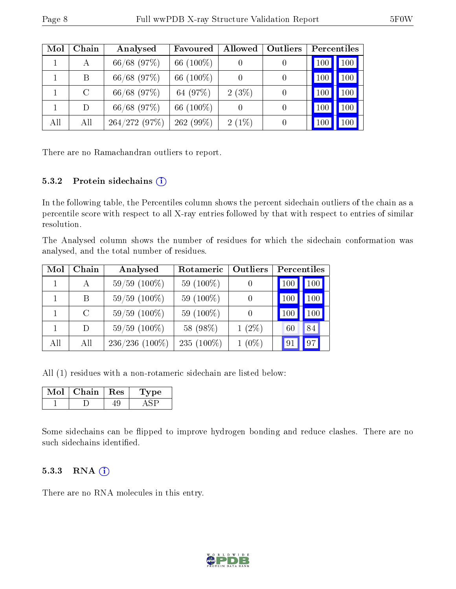| Mol | Chain   | Analysed        | Favoured     | Allowed  | Outliers         |     | Percentiles |
|-----|---------|-----------------|--------------|----------|------------------|-----|-------------|
|     | А       | 66/68 (97%)     | 66 $(100\%)$ |          | $\theta$         | 100 | 100         |
|     | B       | $66/68$ (97%)   | 66 (100\%)   |          | $\left( \right)$ | 100 | 100         |
|     | $\rm C$ | $66/68$ $(97%)$ | 64 (97\%)    | $2(3\%)$ | $\left( \right)$ | 100 | 100         |
|     | D       | $66/68$ (97%)   | 66 (100\%)   |          | $\left( \right)$ | 100 | 100         |
| All | All     | 264/272(97%)    | $262(99\%)$  | $2(1\%)$ | 0                |     | 100         |

There are no Ramachandran outliers to report.

#### 5.3.2 Protein sidechains (i)

In the following table, the Percentiles column shows the percent sidechain outliers of the chain as a percentile score with respect to all X-ray entries followed by that with respect to entries of similar resolution.

The Analysed column shows the number of residues for which the sidechain conformation was analysed, and the total number of residues.

| Mol | Chain         | Analysed          | Rotameric<br>Outliers |                  | Percentiles |                  |  |
|-----|---------------|-------------------|-----------------------|------------------|-------------|------------------|--|
|     | A             | $59/59$ $(100\%)$ | 59 $(100\%)$          |                  | 100         | 100              |  |
|     | B             | $59/59$ $(100\%)$ | 59 $(100\%)$          | $\left( \right)$ | 100         | 100 <sub>l</sub> |  |
|     | $\mathcal{C}$ | $59/59$ $(100\%)$ | 59 $(100\%)$          |                  | 100         | 100 <sub>1</sub> |  |
|     | D             | $59/59(100\%)$    | 58 (98%)              | $1(2\%)$         | 60          | 84               |  |
| All | All           | $236/236$ (100%)  | 235 $(100\%)$         | $1(0\%)$         | 91          | 97               |  |

All (1) residues with a non-rotameric sidechain are listed below:

| Chain   Res | рe |
|-------------|----|
|             |    |

Some sidechains can be flipped to improve hydrogen bonding and reduce clashes. There are no such sidechains identified.

#### 5.3.3 RNA (1)

There are no RNA molecules in this entry.

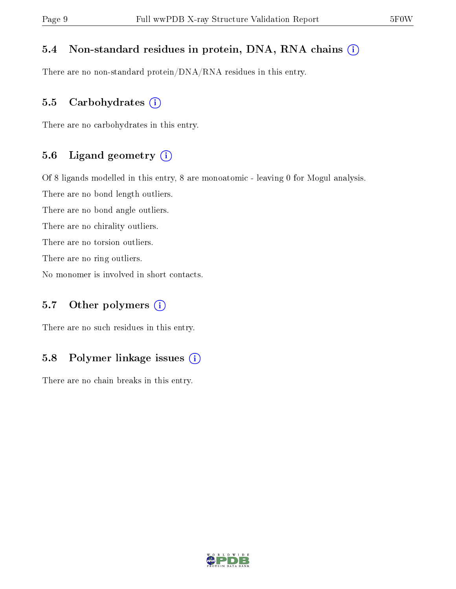### 5.4 Non-standard residues in protein, DNA, RNA chains (i)

There are no non-standard protein/DNA/RNA residues in this entry.

#### 5.5 Carbohydrates  $(i)$

There are no carbohydrates in this entry.

#### 5.6 Ligand geometry (i)

Of 8 ligands modelled in this entry, 8 are monoatomic - leaving 0 for Mogul analysis.

There are no bond length outliers.

There are no bond angle outliers.

There are no chirality outliers.

There are no torsion outliers.

There are no ring outliers.

No monomer is involved in short contacts.

### 5.7 [O](https://www.wwpdb.org/validation/2017/XrayValidationReportHelp#nonstandard_residues_and_ligands)ther polymers  $(i)$

There are no such residues in this entry.

### 5.8 Polymer linkage issues  $(i)$

There are no chain breaks in this entry.

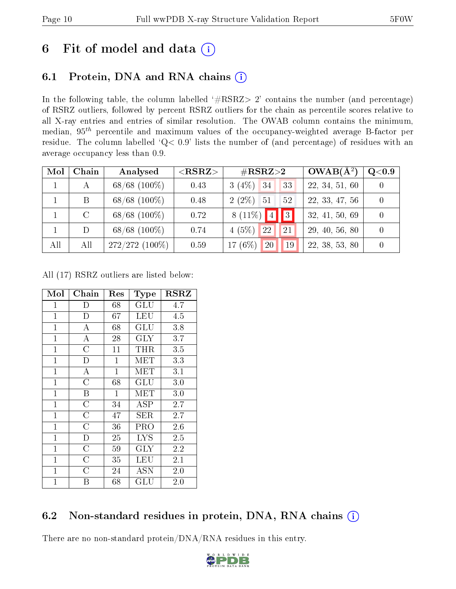# 6 Fit of model and data  $(i)$

## 6.1 Protein, DNA and RNA chains  $(i)$

In the following table, the column labelled  $#RSRZ> 2'$  contains the number (and percentage) of RSRZ outliers, followed by percent RSRZ outliers for the chain as percentile scores relative to all X-ray entries and entries of similar resolution. The OWAB column contains the minimum, median,  $95<sup>th</sup>$  percentile and maximum values of the occupancy-weighted average B-factor per residue. The column labelled ' $Q< 0.9$ ' lists the number of (and percentage) of residues with an average occupancy less than 0.9.

| Mol | Chain         | Analysed          | $<$ RSRZ $>$ | $\rm \#RSRZ{>}2$               | $OWAB(A^2)$    | Q <sub>0.9</sub> |
|-----|---------------|-------------------|--------------|--------------------------------|----------------|------------------|
|     |               | $68/68$ $(100\%)$ | 0.43         | $3(4\%)$ 34<br>33              | 22, 34, 51, 60 |                  |
|     | B             | $68/68$ (100\%)   | 0.48         | $2(2\%)$<br>-51<br>52          | 22, 33, 47, 56 |                  |
|     | $\mathcal{C}$ | $68/68$ $(100\%)$ | 0.72         | 8 (11\%) $4$<br>$\vert\vert$ 3 | 32, 41, 50, 69 |                  |
|     |               | $68/68$ $(100\%)$ | 0.74         | $4(5\%)$<br>22<br>21           | 29, 40, 56, 80 |                  |
| All | All           | $272/272(100\%)$  | 0.59         | 17 $(6%)$<br>20<br>19          | 22, 38, 53, 80 |                  |

All (17) RSRZ outliers are listed below:

| Mol            | ${\bf Chain}$      | Res          | <b>Type</b>          | <b>RSRZ</b> |
|----------------|--------------------|--------------|----------------------|-------------|
| $\mathbf{1}$   | D                  | 68           | GLU                  | 4.7         |
| $\mathbf{1}$   | D                  | 67           | <b>LEU</b>           | 4.5         |
| $\overline{1}$ | $\overline{\rm A}$ | 68           | $GL\overline{U}$     | 3.8         |
| $\overline{1}$ | $\overline{\rm A}$ | 28           | $\rm GLY$            | 3.7         |
| $\mathbf{1}$   | $\overline{\rm C}$ | 11           | THR                  | 3.5         |
| $\mathbf{1}$   | D                  | 1            | MET                  | 3.3         |
| $\mathbf{1}$   | $\bf{A}$           | $\mathbf{1}$ | MET                  | 3.1         |
| $\mathbf{1}$   | $\overline{C}$     | 68           | GLU                  | 3.0         |
| $\mathbf{1}$   | $\boldsymbol{B}$   | $\mathbf{1}$ | MET                  | 3.0         |
| $\mathbf{1}$   | $\overline{\rm C}$ | 34           | ASP                  | 2.7         |
| $\mathbf{1}$   | $\overline{C}$     | 47           | SER                  | 2.7         |
| $\mathbf{1}$   | $\overline{\rm C}$ | 36           | PRO                  | 2.6         |
| $\mathbf 1$    | D                  | 25           | <b>LYS</b>           | 2.5         |
| $\mathbf 1$    | $\overline{C}$     | 59           | $\rm GLY$            | 2.2         |
| $\mathbf{1}$   | $\overline{\rm C}$ | 35           | LEU                  | 2.1         |
| $\mathbf{1}$   | $\overline{C}$     | 24           | ASN                  | $2.0\,$     |
| $\mathbf 1$    | Β                  | 68           | $\operatorname{GLU}$ | 2.0         |

## 6.2 Non-standard residues in protein, DNA, RNA chains  $(i)$

There are no non-standard protein/DNA/RNA residues in this entry.